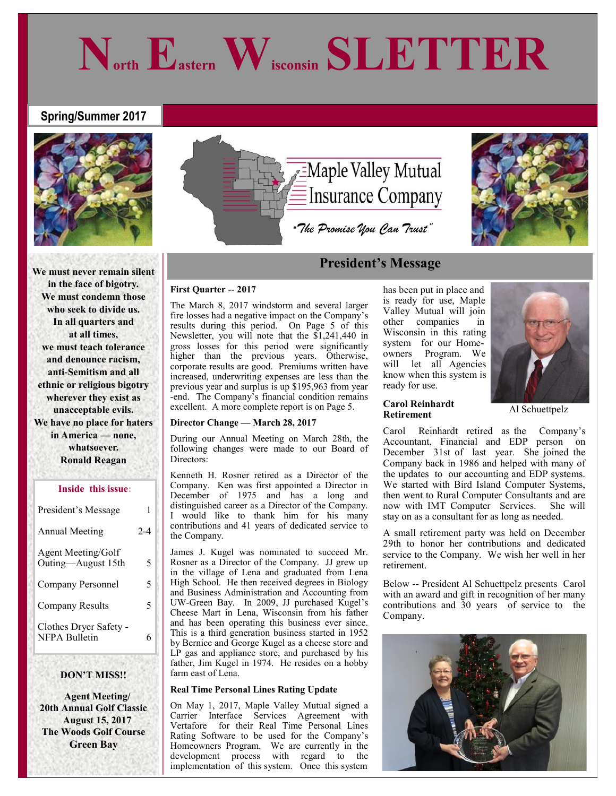## **Spring/Summer 2017**



**We must never remain silent in the face of bigotry. We must condemn those who seek to divide us. In all quarters and at all times, we must teach tolerance and denounce racism, anti-Semitism and all ethnic or religious bigotry wherever they exist as unacceptable evils. We have no place for haters in America — none, whatsoever. Ronald Reagan**

## **Inside this issue:**

| President's Message                            |         |
|------------------------------------------------|---------|
| Annual Meeting                                 | $2 - 4$ |
| Agent Meeting/Golf<br>Outing-August 15th       | 5       |
| Company Personnel                              | 5       |
| Company Results                                | 5       |
| Clothes Dryer Safety -<br><b>NFPA Bulletin</b> |         |

## **DON'T MISS!!**

 **Agent Meeting/ 20th Annual Golf Classic August 15, 2017 The Woods Golf Course Green Bay**



**North Eastern Wisconsin SLETTER**

## **President's Message**

## **First Quarter -- 2017**

The March 8, 2017 windstorm and several larger fire losses had a negative impact on the Company's results during this period. On Page 5 of this Newsletter, you will note that the \$1,241,440 in gross losses for this period were significantly higher than the previous years. Otherwise, corporate results are good. Premiums written have increased, underwriting expenses are less than the previous year and surplus is up \$195,963 from year -end. The Company's financial condition remains excellent. A more complete report is on Page 5.

### **Director Change — March 28, 2017**

During our Annual Meeting on March 28th, the following changes were made to our Board of Directors:

Kenneth H. Rosner retired as a Director of the Company. Ken was first appointed a Director in December of 1975 and has a long and distinguished career as a Director of the Company. I would like to thank him for his many contributions and 41 years of dedicated service to the Company.

James J. Kugel was nominated to succeed Mr. Rosner as a Director of the Company. JJ grew up in the village of Lena and graduated from Lena High School. He then received degrees in Biology and Business Administration and Accounting from UW-Green Bay. In 2009, JJ purchased Kugel's Cheese Mart in Lena, Wisconsin from his father and has been operating this business ever since. This is a third generation business started in 1952 by Bernice and George Kugel as a cheese store and LP gas and appliance store, and purchased by his father, Jim Kugel in 1974. He resides on a hobby farm east of Lena.

### **Real Time Personal Lines Rating Update**

On May 1, 2017, Maple Valley Mutual signed a Carrier Interface Services Agreement with Vertafore for their Real Time Personal Lines Rating Software to be used for the Company's Homeowners Program. We are currently in the development process with regard to the implementation of this system. Once this system

has been put in place and is ready for use, Maple Valley Mutual will join other companies in Wisconsin in this rating system for our Homeowners Program. We will let all Agencies know when this system is ready for use.

**Carol Reinhardt Retirement** 



### Al Schuettpelz

Carol Reinhardt retired as the Company's Accountant, Financial and EDP person on December 31st of last year. She joined the Company back in 1986 and helped with many of the updates to our accounting and EDP systems. We started with Bird Island Computer Systems, then went to Rural Computer Consultants and are<br>now with IMT Computer Services. She will now with IMT Computer Services. stay on as a consultant for as long as needed.

A small retirement party was held on December 29th to honor her contributions and dedicated service to the Company. We wish her well in her retirement.

Below -- President Al Schuettpelz presents Carol with an award and gift in recognition of her many contributions and 30 years of service to the Company.

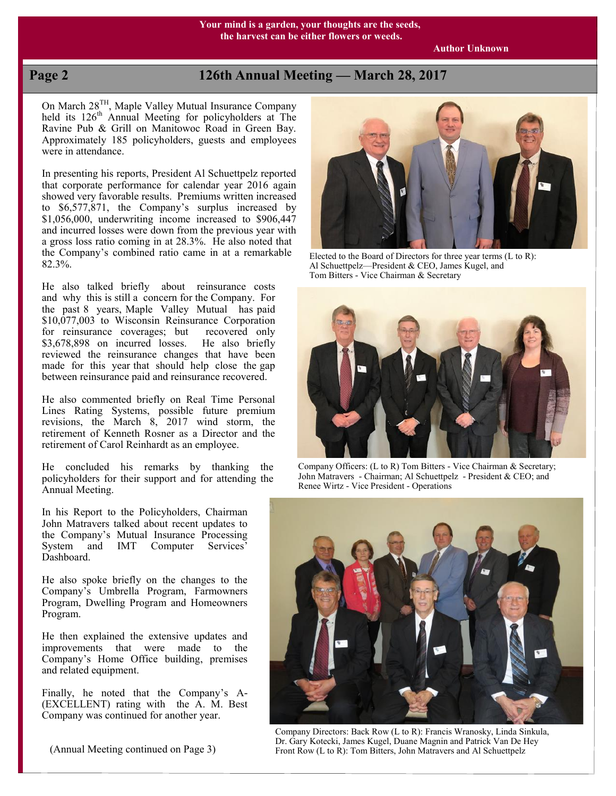**Author Unknown**

## **Page 2 126th Annual Meeting — March 28, 2017**

On March 28<sup>TH</sup>, Maple Valley Mutual Insurance Company held its 126<sup>th</sup> Annual Meeting for policyholders at The Ravine Pub & Grill on Manitowoc Road in Green Bay. Approximately 185 policyholders, guests and employees were in attendance.

In presenting his reports, President Al Schuettpelz reported that corporate performance for calendar year 2016 again showed very favorable results. Premiums written increased to \$6,577,871, the Company's surplus increased by \$1,056,000, underwriting income increased to \$906,447 and incurred losses were down from the previous year with a gross loss ratio coming in at 28.3%. He also noted that the Company's combined ratio came in at a remarkable 82.3%.

He also talked briefly about reinsurance costs and why this is still a concern for the Company. For the past 8 years, Maple Valley Mutual has paid \$10,077,003 to Wisconsin Reinsurance Corporation for reinsurance coverages; but recovered only \$3,678,898 on incurred losses. He also briefly reviewed the reinsurance changes that have been made for this year that should help close the gap between reinsurance paid and reinsurance recovered.

He also commented briefly on Real Time Personal Lines Rating Systems, possible future premium revisions, the March 8, 2017 wind storm, the retirement of Kenneth Rosner as a Director and the retirement of Carol Reinhardt as an employee.

He concluded his remarks by thanking the policyholders for their support and for attending the Annual Meeting.

In his Report to the Policyholders, Chairman John Matravers talked about recent updates to the Company's Mutual Insurance Processing System and IMT Computer Services' Dashboard.

He also spoke briefly on the changes to the Company's Umbrella Program, Farmowners Program, Dwelling Program and Homeowners Program.

He then explained the extensive updates and improvements that were made to the Company's Home Office building, premises and related equipment.

Finally, he noted that the Company's A- (EXCELLENT) rating with the A. M. Best Company was continued for another year.

(Annual Meeting continued on Page 3)



Elected to the Board of Directors for three year terms (L to R): Al Schuettpelz—President & CEO, James Kugel, and Tom Bitters - Vice Chairman & Secretary



Company Officers: (L to R) Tom Bitters - Vice Chairman & Secretary; John Matravers - Chairman; Al Schuettpelz - President & CEO; and Renee Wirtz - Vice President - Operations



Company Directors: Back Row (L to R): Francis Wranosky, Linda Sinkula, Dr. Gary Kotecki, James Kugel, Duane Magnin and Patrick Van De Hey Front Row (L to R): Tom Bitters, John Matravers and Al Schuettpelz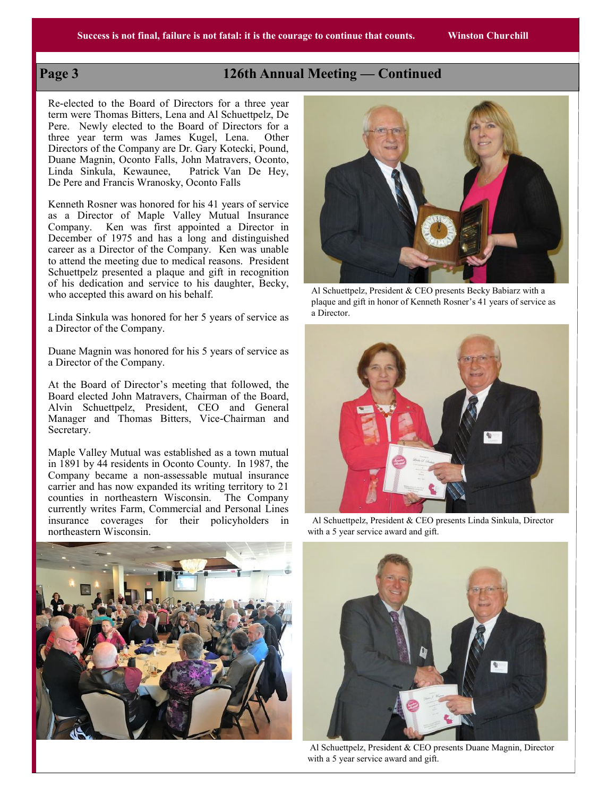# **Page 3 126th Annual Meeting — Continued**

Re-elected to the Board of Directors for a three year term were Thomas Bitters, Lena and Al Schuettpelz, De Pere. Newly elected to the Board of Directors for a three year term was James Kugel, Lena. Other Directors of the Company are Dr. Gary Kotecki, Pound, Duane Magnin, Oconto Falls, John Matravers, Oconto, Linda Sinkula, Kewaunee, Patrick Van De Hey, De Pere and Francis Wranosky, Oconto Falls

Kenneth Rosner was honored for his 41 years of service as a Director of Maple Valley Mutual Insurance Company. Ken was first appointed a Director in December of 1975 and has a long and distinguished career as a Director of the Company. Ken was unable to attend the meeting due to medical reasons. President Schuettpelz presented a plaque and gift in recognition of his dedication and service to his daughter, Becky, who accepted this award on his behalf.

Linda Sinkula was honored for her 5 years of service as a Director of the Company.

Duane Magnin was honored for his 5 years of service as a Director of the Company.

At the Board of Director's meeting that followed, the Board elected John Matravers, Chairman of the Board, Alvin Schuettpelz, President, CEO and General Manager and Thomas Bitters, Vice-Chairman and Secretary.

Maple Valley Mutual was established as a town mutual in 1891 by 44 residents in Oconto County. In 1987, the Company became a non-assessable mutual insurance carrier and has now expanded its writing territory to 21 counties in northeastern Wisconsin. The Company currently writes Farm, Commercial and Personal Lines insurance coverages for their policyholders in northeastern Wisconsin.



Al Schuettpelz, President & CEO presents Becky Babiarz with a plaque and gift in honor of Kenneth Rosner's 41 years of service as a Director.





 Al Schuettpelz, President & CEO presents Linda Sinkula, Director with a 5 year service award and gift.



Al Schuettpelz, President & CEO presents Duane Magnin, Director with a 5 year service award and gift.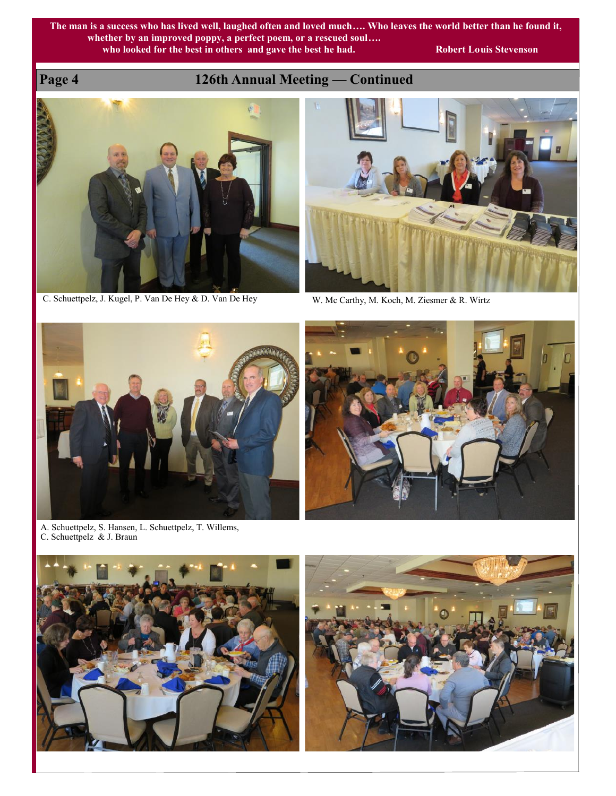**The man is a success who has lived well, laughed often and loved much…. Who leaves the world better than he found it, whether by an improved poppy, a perfect poem, or a rescued soul….**  who looked for the best in others and gave the best he had. Robert Louis Stevenson

# **Page 4 126th Annual Meeting — Continued**



C. Schuettpelz, J. Kugel, P. Van De Hey & D. Van De Hey W. Mc Carthy, M. Koch, M. Ziesmer & R. Wirtz





A. Schuettpelz, S. Hansen, L. Schuettpelz, T. Willems, C. Schuettpelz & J. Braun





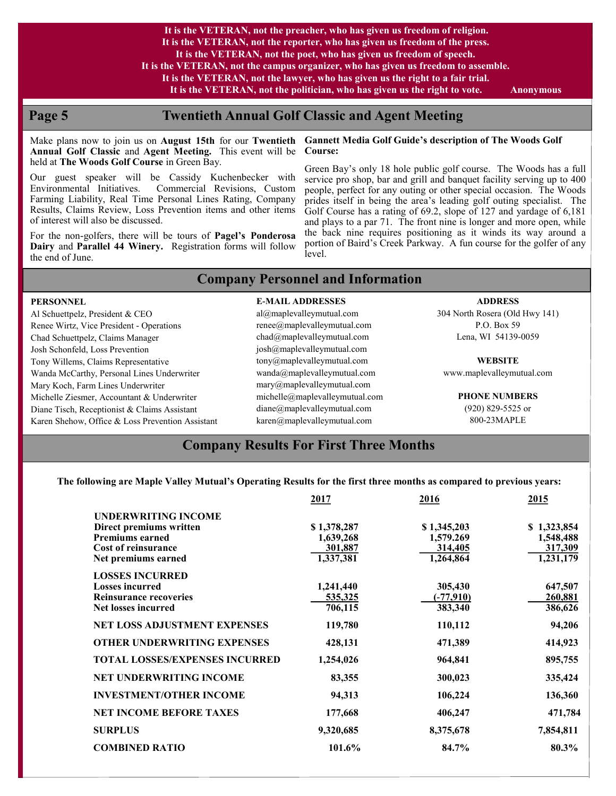**It is the VETERAN, not the preacher, who has given us freedom of religion. It is the VETERAN, not the reporter, who has given us freedom of the press. It is the VETERAN, not the poet, who has given us freedom of speech. It is the VETERAN, not the campus organizer, who has given us freedom to assemble. It is the VETERAN, not the lawyer, who has given us the right to a fair trial. It is the VETERAN, not the politician, who has given us the right to vote. Anonymous**

## **Page 5 Twentieth Annual Golf Classic and Agent Meeting**

Make plans now to join us on **August 15th** for our **Twentieth Annual Golf Classic** and **Agent Meeting.** This event will be held at **The Woods Golf Course** in Green Bay.

Our guest speaker will be Cassidy Kuchenbecker with Environmental Initiatives. Commercial Revisions, Custom Farming Liability, Real Time Personal Lines Rating, Company Results, Claims Review, Loss Prevention items and other items of interest will also be discussed.

For the non-golfers, there will be tours of **Pagel's Ponderosa Dairy** and **Parallel 44 Winery.** Registration forms will follow the end of June.

## **Gannett Media Golf Guide's description of The Woods Golf Course:**

Green Bay's only 18 hole public golf course. The Woods has a full service pro shop, bar and grill and banquet facility serving up to 400 people, perfect for any outing or other special occasion. The Woods prides itself in being the area's leading golf outing specialist. The Golf Course has a rating of 69.2, slope of 127 and yardage of 6,181 and plays to a par 71. The front nine is longer and more open, while the back nine requires positioning as it winds its way around a portion of Baird's Creek Parkway. A fun course for the golfer of any level.

# **Company Personnel and Information**

**E-MAIL ADDRESSES**

### **PERSONNEL**

Al Schuettpelz, President & CEO Renee Wirtz, Vice President - Operations Chad Schuettpelz, Claims Manager Josh Schonfeld, Loss Prevention Tony Willems, Claims Representative Wanda McCarthy, Personal Lines Underwriter Mary Koch, Farm Lines Underwriter Michelle Ziesmer, Accountant & Underwriter Diane Tisch, Receptionist & Claims Assistant Karen Shehow, Office & Loss Prevention Assistant

al@maplevalleymutual.com renee@maplevalleymutual.com chad@maplevalleymutual.com josh@maplevalleymutual.com tony@maplevalleymutual.com wanda@maplevalleymutual.com mary@maplevalleymutual.com michelle@maplevalleymutual.com diane@maplevalleymutual.com

## **ADDRESS**

304 North Rosera (Old Hwy 141) P.O. Box 59 Lena, WI 54139-0059

**WEBSITE** www.maplevalleymutual.com

**PHONE NUMBERS**

(920) 829-5525 or 800-23MAPLE

# **Company Results For First Three Months**

karen@maplevalleymutual.com

**The following are Maple Valley Mutual's Operating Results for the first three months as compared to previous years:**

|                                                                                                                                      | 2017                                             | 2016                                             | 2015                                             |
|--------------------------------------------------------------------------------------------------------------------------------------|--------------------------------------------------|--------------------------------------------------|--------------------------------------------------|
| <b>UNDERWRITING INCOME</b><br>Direct premiums written<br><b>Premiums earned</b><br><b>Cost of reinsurance</b><br>Net premiums earned | \$1,378,287<br>1,639,268<br>301,887<br>1,337,381 | \$1,345,203<br>1,579.269<br>314,405<br>1,264,864 | \$1,323,854<br>1,548,488<br>317,309<br>1,231,179 |
| <b>LOSSES INCURRED</b><br><b>Losses incurred</b><br><b>Reinsurance recoveries</b><br>Net losses incurred                             | 1,241,440<br><u>535,325</u><br>706,115           | 305,430<br>$(-77,910)$<br>383,340                | 647,507<br>260,881<br>386,626                    |
| <b>NET LOSS ADJUSTMENT EXPENSES</b>                                                                                                  | 119,780                                          | 110,112                                          | 94,206                                           |
| <b>OTHER UNDERWRITING EXPENSES</b>                                                                                                   | 428,131                                          | 471,389                                          | 414,923                                          |
| <b>TOTAL LOSSES/EXPENSES INCURRED</b>                                                                                                | 1,254,026                                        | 964,841                                          | 895,755                                          |
| <b>NET UNDERWRITING INCOME</b>                                                                                                       | 83,355                                           | 300,023                                          | 335,424                                          |
| <b>INVESTMENT/OTHER INCOME</b>                                                                                                       | 94,313                                           | 106,224                                          | 136,360                                          |
| <b>NET INCOME BEFORE TAXES</b>                                                                                                       | 177,668                                          | 406,247                                          | 471,784                                          |
| <b>SURPLUS</b>                                                                                                                       | 9,320,685                                        | 8,375,678                                        | 7,854,811                                        |
| <b>COMBINED RATIO</b>                                                                                                                | 101.6%                                           | 84.7%                                            | 80.3%                                            |